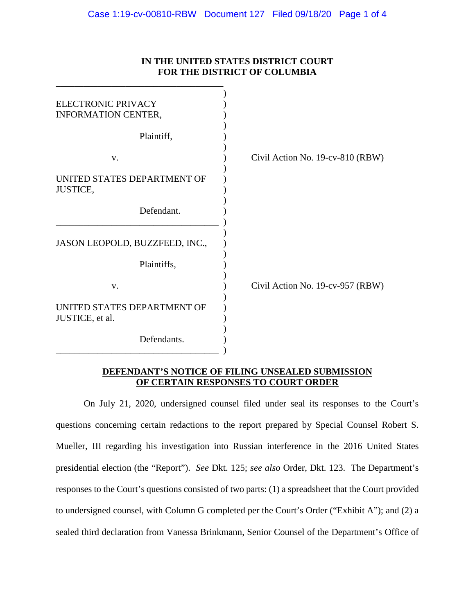| IN THE UNITED STATES DISTRICT COURT<br>FOR THE DISTRICT OF COLUMBIA |                                  |
|---------------------------------------------------------------------|----------------------------------|
| <b>ELECTRONIC PRIVACY</b><br>INFORMATION CENTER,                    |                                  |
| Plaintiff,                                                          |                                  |
| V.                                                                  | Civil Action No. 19-cv-810 (RBW) |
| UNITED STATES DEPARTMENT OF<br>JUSTICE,                             |                                  |
| Defendant.                                                          |                                  |
| JASON LEOPOLD, BUZZFEED, INC.,                                      |                                  |
| Plaintiffs,                                                         |                                  |
| V.                                                                  | Civil Action No. 19-cv-957 (RBW) |
| UNITED STATES DEPARTMENT OF<br>JUSTICE, et al.                      |                                  |
| Defendants.                                                         |                                  |

## **IN THE UNITED STATES DISTRICT COURT**

## **DEFENDANT'S NOTICE OF FILING UNSEALED SUBMISSION OF CERTAIN RESPONSES TO COURT ORDER**

On July 21, 2020, undersigned counsel filed under seal its responses to the Court's questions concerning certain redactions to the report prepared by Special Counsel Robert S. Mueller, III regarding his investigation into Russian interference in the 2016 United States presidential election (the "Report"). *See* Dkt. 125; *see also* Order, Dkt. 123. The Department's responses to the Court's questions consisted of two parts: (1) a spreadsheet that the Court provided to undersigned counsel, with Column G completed per the Court's Order ("Exhibit A"); and (2) a sealed third declaration from Vanessa Brinkmann, Senior Counsel of the Department's Office of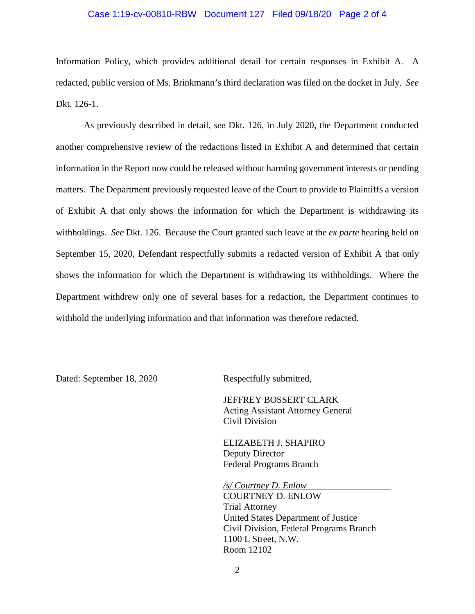## Case 1:19-cv-00810-RBW Document 127 Filed 09/18/20 Page 2 of 4

Information Policy, which provides additional detail for certain responses in Exhibit A. A redacted, public version of Ms. Brinkmann's third declaration was filed on the docket in July. *See*  Dkt. 126-1.

As previously described in detail, *see* Dkt. 126, in July 2020, the Department conducted another comprehensive review of the redactions listed in Exhibit A and determined that certain information in the Report now could be released without harming government interests or pending matters. The Department previously requested leave of the Court to provide to Plaintiffs a version of Exhibit A that only shows the information for which the Department is withdrawing its withholdings. *See* Dkt. 126. Because the Court granted such leave at the *ex parte* hearing held on September 15, 2020, Defendant respectfully submits a redacted version of Exhibit A that only shows the information for which the Department is withdrawing its withholdings. Where the Department withdrew only one of several bases for a redaction, the Department continues to withhold the underlying information and that information was therefore redacted.

Dated: September 18, 2020 Respectfully submitted,

JEFFREY BOSSERT CLARK Acting Assistant Attorney General Civil Division

ELIZABETH J. SHAPIRO Deputy Director Federal Programs Branch

*/s/ Courtney D. Enlow*

COURTNEY D. ENLOW Trial Attorney United States Department of Justice Civil Division, Federal Programs Branch 1100 L Street, N.W. Room 12102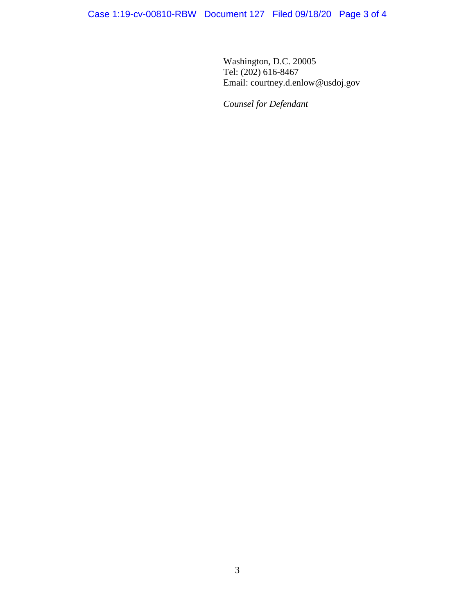Washington, D.C. 20005 Tel: (202) 616-8467 Email: courtney.d.enlow@usdoj.gov

*Counsel for Defendant*